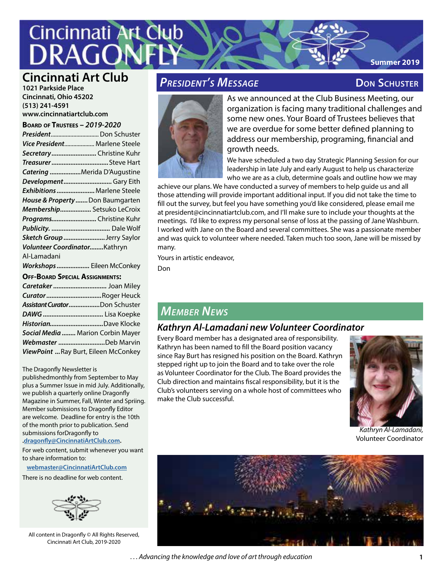# **Cincinnati Art Club**

# **Cincinnati Art Club** *PRESIDENT's MESSAGE* **DON SCHUSTER**

**1021 Parkside Place Cincinnati, Ohio 45202 (513) 241-4591 www.cincinnatiartclub.com**

#### **Board of Trustees –** *2019-2020*

| NU UT INUSILLS ZUISZUZU               |                                      |
|---------------------------------------|--------------------------------------|
|                                       | President Don Schuster               |
|                                       | Vice President Marlene Steele        |
| Secretary Christine Kuhr              |                                      |
|                                       | TreasurerSteve Hart                  |
|                                       | Catering Merida D'Augustine          |
| Development Gary Eith                 |                                      |
| Exhibitions Marlene Steele            |                                      |
| House & Property  Don Baumgarten      |                                      |
|                                       | Membership Setsuko LeCroix           |
|                                       | Programs Christine Kuhr              |
|                                       |                                      |
| Sketch Group Jerry Saylor             |                                      |
| Volunteer CoordinatorKathryn          |                                      |
| Al-Lamadani                           |                                      |
|                                       | Workshops Eileen McConkey            |
| <b>OFF-BOARD SPECIAL ASSIGNMENTS:</b> |                                      |
|                                       | Caretaker  Joan Miley                |
|                                       | CuratorRoger Heuck                   |
| Assistant CuratorDon Schuster         |                                      |
|                                       |                                      |
| HistorianDave Klocke                  |                                      |
| Social Media  Marion Corbin Mayer     |                                      |
|                                       | Webmaster Deb Marvin                 |
|                                       | ViewPoint  Ray Burt, Eileen McConkey |

#### The Dragonfly Newsletter is

publishedmonthly from September to May plus a Summer Issue in mid July. Additionally, we publish a quarterly online Dragonfly Magazine in Summer, Fall, Winter and Spriing. Member submissions to Dragonfly Editor are welcome. Deadline for entry is the 10th of the month prior to publication. Send submissions forDragonfly to **.dragonfly@CincinnatiArtClub.com.** 

For web content, submit whenever you want to share information to:

**webmaster@CincinnatiArtClub.com**

There is no deadline for web content.



All content in Dragonfly © All Rights Reserved, Cincinnati Art Club, 2019-2020

**Summer 2019**



As we announced at the Club Business Meeting, our organization is facing many traditional challenges and some new ones. Your Board of Trustees believes that we are overdue for some better defined planning to address our membership, programing, financial and growth needs.

We have scheduled a two day Strategic Planning Session for our leadership in late July and early August to help us characterize who we are as a club, determine goals and outline how we may

achieve our plans. We have conducted a survey of members to help guide us and all those attending will provide important additional input. If you did not take the time to fill out the survey, but feel you have something you'd like considered, please email me at president@cincinnatiartclub.com, and I'll make sure to include your thoughts at the meetings. I'd like to express my personal sense of loss at the passing of Jane Washburn. I worked with Jane on the Board and several committees. She was a passionate member and was quick to volunteer where needed. Taken much too soon, Jane will be missed by many.

Yours in artistic endeavor,

Don

# *Member News*

### *Kathryn Al-Lamadani new Volunteer Coordinator*

Every Board member has a designated area of responsibility. Kathryn has been named to fill the Board position vacancy since Ray Burt has resigned his position on the Board. Kathryn stepped right up to join the Board and to take over the role as Volunteer Coordinator for the Club. The Board provides the Club direction and maintains fiscal responsibility, but it is the Club's volunteers serving on a whole host of committees who make the Club successful.



*Kathryn Al-Lamadani,*  Volunteer Coordinator

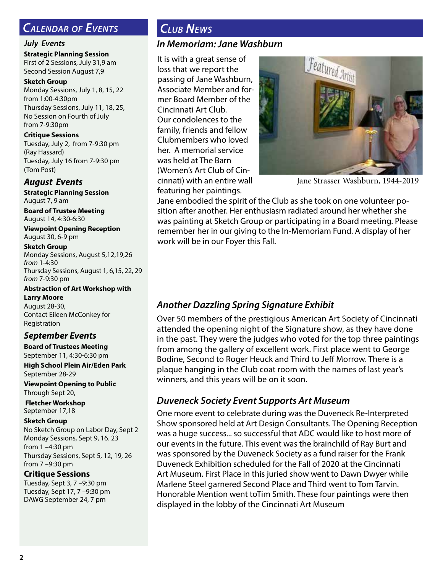# *Calendar of Events*

#### *July Events*

**Strategic Planning Session** First of 2 Sessions, July 31,9 am Second Session August 7,9

**Sketch Group** Monday Sessions, July 1, 8, 15, 22 from 1:00-4:30pm Thursday Sessions, July 11, 18, 25, No Session on Fourth of July from 7-9:30pm

**Critique Sessions** Tuesday, July 2, from 7-9:30 pm (Ray Hassard) Tuesday, July 16 from 7-9:30 pm (Tom Post)

#### *August Events*

**Strategic Planning Session** August 7, 9 am

**Board of Trustee Meeting** August 14, 4:30-6:30

**Viewpoint Opening Reception** August 30, 6-9 pm

**Sketch Group** Monday Sessions, August 5,12,19,26 *from* 1-4:30 Thursday Sessions, August 1, 6,15, 22, 29 *from* 7-9:30 pm

**Abstraction of Art Workshop with Larry Moore** August 28-30,

#### Contact Eileen McConkey for Registration

### *September Events*

**Board of Trustees Meeting** September 11, 4:30-6:30 pm

**High School Plein Air/Eden Park** September 28-29

**Viewpoint Opening to Public** Through Sept 20,

 **Fletcher Workshop** September 17,18

#### **Sketch Group**

No Sketch Group on Labor Day, Sept 2 Monday Sessions, Sept 9, 16. 23 from 1 –4:30 pm Thursday Sessions, Sept 5, 12, 19, 26 from 7 –9:30 pm

#### **Critique Sessions**

Tuesday, Sept 3, 7 –9:30 pm Tuesday, Sept 17, 7 –9:30 pm DAWG September 24, 7 pm

# *Club News*

## *In Memoriam: Jane Washburn*

It is with a great sense of loss that we report the passing of Jane Washburn, Associate Member and former Board Member of the Cincinnati Art Club. Our condolences to the family, friends and fellow Clubmembers who loved her. A memorial service was held at The Barn (Women's Art Club of Cincinnati) with an entire wall featuring her paintings.



Jane Strasser Washburn, 1944-2019

Jane embodied the spirit of the Club as she took on one volunteer position after another. Her enthusiasm radiated around her whether she was painting at Sketch Group or participating in a Board meeting. Please remember her in our giving to the In-Memoriam Fund. A display of her work will be in our Foyer this Fall.

# *Another Dazzling Spring Signature Exhibit*

Over 50 members of the prestigious American Art Society of Cincinnati attended the opening night of the Signature show, as they have done in the past. They were the judges who voted for the top three paintings from among the gallery of excellent work. First place went to George Bodine, Second to Roger Heuck and Third to Jeff Morrow. There is a plaque hanging in the Club coat room with the names of last year's winners, and this years will be on it soon.

# *Duveneck Society Event Supports Art Museum*

One more event to celebrate during was the Duveneck Re-Interpreted Show sponsored held at Art Design Consultants. The Opening Reception was a huge success... so successful that ADC would like to host more of our events in the future. This event was the brainchild of Ray Burt and was sponsored by the Duveneck Society as a fund raiser for the Frank Duveneck Exhibition scheduled for the Fall of 2020 at the Cincinnati Art Museum. First Place in this juried show went to Dawn Dwyer while Marlene Steel garnered Second Place and Third went to Tom Tarvin. Honorable Mention went toTim Smith. These four paintings were then displayed in the lobby of the Cincinnati Art Museum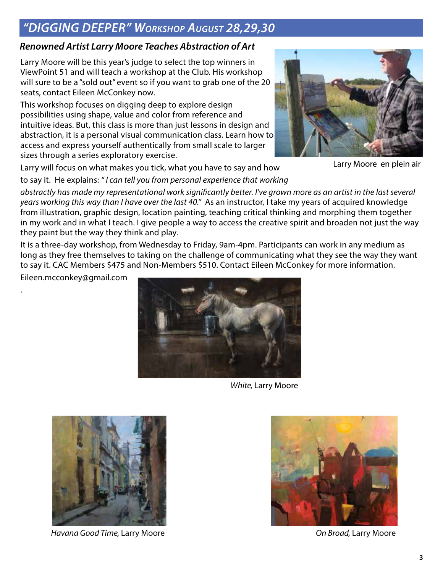# *"DIGGING DEEPER" Workshop August 28,29,30*

# *Renowned Artist Larry Moore Teaches Abstraction of Art*

Larry Moore will be this year's judge to select the top winners in ViewPoint 51 and will teach a workshop at the Club. His workshop will sure to be a "sold out" event so if you want to grab one of the 20 seats, contact Eileen McConkey now.

This workshop focuses on digging deep to explore design possibilities using shape, value and color from reference and intuitive ideas. But, this class is more than just lessons in design and abstraction, it is a personal visual communication class. Learn how to access and express yourself authentically from small scale to larger sizes through a series exploratory exercise.



Larry Moore en plein air

Larry will focus on what makes you tick, what you have to say and how to say it. He explains: *" I can tell you from personal experience that working* 

*abstractly has made my representational work significantly better. I've grown more as an artist in the last several years working this way than I have over the last 40."* As an instructor, I take my years of acquired knowledge from illustration, graphic design, location painting, teaching critical thinking and morphing them together in my work and in what I teach. I give people a way to access the creative spirit and broaden not just the way they paint but the way they think and play.

It is a three-day workshop, from Wednesday to Friday, 9am-4pm. Participants can work in any medium as long as they free themselves to taking on the challenge of communicating what they see the way they want to say it. CAC Members \$475 and Non-Members \$510. Contact Eileen McConkey for more information.

Eileen.mcconkey@gmail.com

.



*White,* Larry Moore



*Havana Good Time,* Larry Moore *On Broad,* Larry Moore